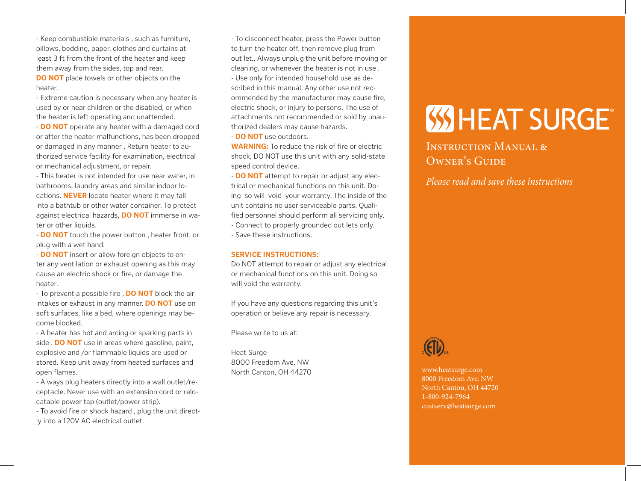- Keep combustible materials , such as furniture, pillows, bedding, paper, clothes and curtains at least 3 ft from the front of the heater and keep them away from the sides, top and rear. **DO NOT** place towels or other objects on the heater.

- Extreme caution is necessary when any heater is used by or near children or the disabled, or when the heater is left operating and unattended.

- **DO NOT** operate any heater with a damaged cord or after the heater malfunctions, has been dropped or damaged in any manner , Return heater to authorized service facility for examination, electrical or mechanical adjustment, or repair.

- This heater is not intended for use near water, in bathrooms, laundry areas and similar indoor locations. **NEVER** locate heater where it may fall into a bathtub or other water container. To protect against electrical hazards, **DO NOT** immerse in water or other liquids.

- **DO NOT** touch the power button , heater front, or plug with a wet hand.

- **DO NOT** insert or allow foreign objects to enter any ventilation or exhaust opening as this may cause an electric shock or fire, or damage the heater.

- To prevent a possible fire , **DO NOT** block the air intakes or exhaust in any manner. **DO NOT** use on soft surfaces. like a bed, where openings may become blocked.

- A heater has hot and arcing or sparking parts in side . **DO NOT** use in areas where gasoline, paint, explosive and /or flammable liquids are used or stored. Keep unit away from heated surfaces and open flames.

- Always plug heaters directly into a wall outlet/receptacle. Never use with an extension cord or relocatable power tap (outlet/power strip).

- To avoid fire or shock hazard , plug the unit directly into a 120V AC electrical outlet.

- To disconnect heater, press the Power button to turn the heater off, then remove plug from out let.. Always unplug the unit before moving or cleaning, or whenever the heater is not in use . - Use only for intended household use as described in this manual. Any other use not recommended by the manufacturer may cause fire, electric shock, or injury to persons. The use of attachments not recommended or sold by unauthorized dealers may cause hazards.

- **DO NOT** use outdoors.

**WARNING:** To reduce the risk of fire or electric shock, DO NOT use this unit with any solid-state speed control device.

- **DO NOT** attempt to repair or adjust any electrical or mechanical functions on this unit. Doing so will void your warranty. The inside of the unit contains no user serviceable parts. Qualified personnel should perform all servicing only.

- Connect to properly grounded out lets only.

- Save these instructions.

#### **SERVICE INSTRUCTIONS:**

Do NOT attempt to repair or adjust any electrical or mechanical functions on this unit. Doing so will void the warranty.

If you have any questions regarding this unit's operation or believe any repair is necessary.

Please write to us at:

Heat Surge 8000 Freedom Ave. NW North Canton, OH 44270

# **SSHEAT SURGE**

INSTRUCTION MANUAL & OWNER'S GUIDE

*Please read and save these instructions*



www.heatsurge.com 8000 Freedom Ave. NW North Canton, OH 44720 1-800-924-7964 custserv@heatsurge.com